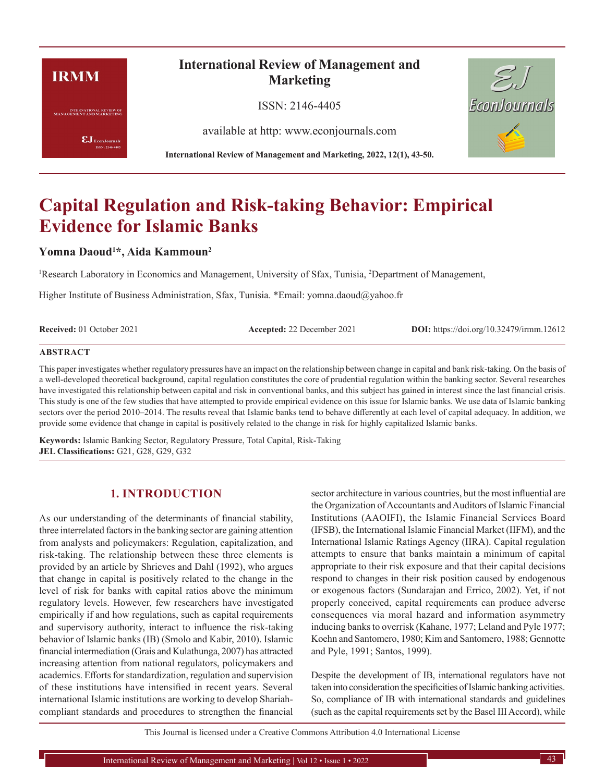# **IRMM**

**INTERNATIONAL REVIEW OF**<br>MANAGEMENT AND MARKETING

 $\pmb{\text{EJ}}$ EconJournals SSN: 2146-4405

# **International Review of Management and Marketing**

ISSN: 2146-4405

available at http: www.econjournals.com

**International Review of Management and Marketing, 2022, 12(1), 43-50.**



# **Capital Regulation and Risk-taking Behavior: Empirical Evidence for Islamic Banks**

# **Yomna Daoud<sup>1</sup>\*, Aida Kammoun<sup>2</sup>**

<sup>1</sup>Research Laboratory in Economics and Management, University of Sfax, Tunisia, <sup>2</sup>Department of Management,

Higher Institute of Business Administration, Sfax, Tunisia. \*Email: yomna.daoud@yahoo.fr

**Received:** 01 October 2021 **Accepted:** 22 December 2021 **DOI:** https://doi.org/10.32479/irmm.12612

#### **ABSTRACT**

This paper investigates whether regulatory pressures have an impact on the relationship between change in capital and bank risk-taking. On the basis of a well-developed theoretical background, capital regulation constitutes the core of prudential regulation within the banking sector. Several researches have investigated this relationship between capital and risk in conventional banks, and this subject has gained in interest since the last financial crisis. This study is one of the few studies that have attempted to provide empirical evidence on this issue for Islamic banks. We use data of Islamic banking sectors over the period 2010–2014. The results reveal that Islamic banks tend to behave differently at each level of capital adequacy. In addition, we provide some evidence that change in capital is positively related to the change in risk for highly capitalized Islamic banks.

**Keywords:** Islamic Banking Sector, Regulatory Pressure, Total Capital, Risk-Taking **JEL Classifications:** G21, G28, G29, G32

# **1. INTRODUCTION**

As our understanding of the determinants of financial stability, three interrelated factors in the banking sector are gaining attention from analysts and policymakers: Regulation, capitalization, and risk-taking. The relationship between these three elements is provided by an article by Shrieves and Dahl (1992), who argues that change in capital is positively related to the change in the level of risk for banks with capital ratios above the minimum regulatory levels. However, few researchers have investigated empirically if and how regulations, such as capital requirements and supervisory authority, interact to influence the risk-taking behavior of Islamic banks (IB) (Smolo and Kabir, 2010). Islamic financial intermediation (Grais and Kulathunga, 2007) has attracted increasing attention from national regulators, policymakers and academics. Efforts for standardization, regulation and supervision of these institutions have intensified in recent years. Several international Islamic institutions are working to develop Shariahcompliant standards and procedures to strengthen the financial sector architecture in various countries, but the most influential are the Organization of Accountants and Auditors of Islamic Financial Institutions (AAOIFI), the Islamic Financial Services Board (IFSB), the International Islamic Financial Market (IIFM), and the International Islamic Ratings Agency (IIRA). Capital regulation attempts to ensure that banks maintain a minimum of capital appropriate to their risk exposure and that their capital decisions respond to changes in their risk position caused by endogenous or exogenous factors (Sundarajan and Errico, 2002). Yet, if not properly conceived, capital requirements can produce adverse consequences via moral hazard and information asymmetry inducing banks to overrisk (Kahane, 1977; Leland and Pyle 1977; Koehn and Santomero, 1980; Kim and Santomero, 1988; Gennotte and Pyle, 1991; Santos, 1999).

Despite the development of IB, international regulators have not taken into consideration the specificities of Islamic banking activities. So, compliance of IB with international standards and guidelines (such as the capital requirements set by the Basel III Accord), while

This Journal is licensed under a Creative Commons Attribution 4.0 International License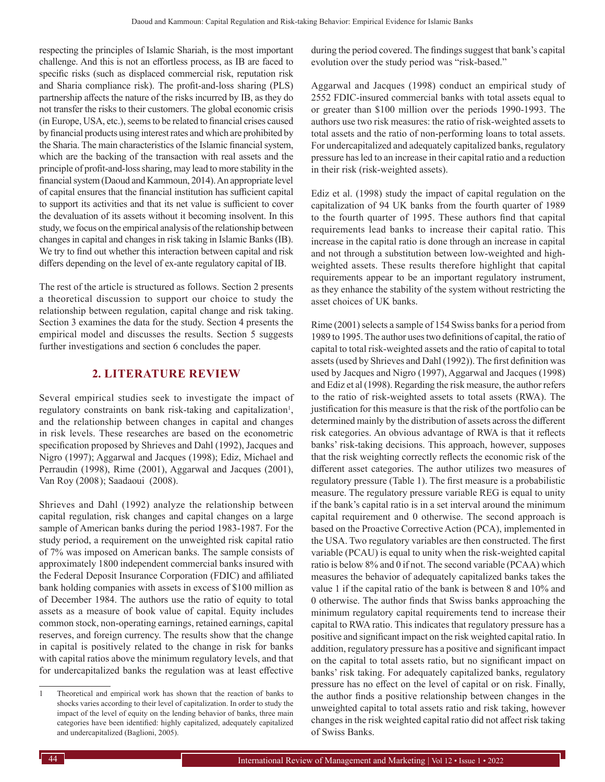respecting the principles of Islamic Shariah, is the most important challenge. And this is not an effortless process, as IB are faced to specific risks (such as displaced commercial risk, reputation risk and Sharia compliance risk). The profit-and-loss sharing (PLS) partnership affects the nature of the risks incurred by IB, as they do not transfer the risks to their customers. The global economic crisis (in Europe, USA, etc.), seems to be related to financial crises caused by financial products using interest rates and which are prohibited by the Sharia. The main characteristics of the Islamic financial system, which are the backing of the transaction with real assets and the principle of profit-and-loss sharing, may lead to more stability in the financial system (Daoud and Kammoun, 2014). An appropriate level of capital ensures that the financial institution has sufficient capital to support its activities and that its net value is sufficient to cover the devaluation of its assets without it becoming insolvent. In this study, we focus on the empirical analysis of the relationship between changes in capital and changes in risk taking in Islamic Banks (IB). We try to find out whether this interaction between capital and risk differs depending on the level of ex-ante regulatory capital of IB.

The rest of the article is structured as follows. Section 2 presents a theoretical discussion to support our choice to study the relationship between regulation, capital change and risk taking. Section 3 examines the data for the study. Section 4 presents the empirical model and discusses the results. Section 5 suggests further investigations and section 6 concludes the paper.

# **2. LITERATURE REVIEW**

Several empirical studies seek to investigate the impact of regulatory constraints on bank risk-taking and capitalization<sup>1</sup>, and the relationship between changes in capital and changes in risk levels. These researches are based on the econometric specification proposed by Shrieves and Dahl (1992), Jacques and Nigro (1997); Aggarwal and Jacques (1998); Ediz, Michael and Perraudin (1998), Rime (2001), Aggarwal and Jacques (2001), Van Roy (2008 ); Saadaoui (2008).

Shrieves and Dahl (1992) analyze the relationship between capital regulation, risk changes and capital changes on a large sample of American banks during the period 1983-1987. For the study period, a requirement on the unweighted risk capital ratio of 7% was imposed on American banks. The sample consists of approximately 1800 independent commercial banks insured with the Federal Deposit Insurance Corporation (FDIC) and affiliated bank holding companies with assets in excess of \$100 million as of December 1984. The authors use the ratio of equity to total assets as a measure of book value of capital. Equity includes common stock, non-operating earnings, retained earnings, capital reserves, and foreign currency. The results show that the change in capital is positively related to the change in risk for banks with capital ratios above the minimum regulatory levels, and that for undercapitalized banks the regulation was at least effective

during the period covered. The findings suggest that bank's capital evolution over the study period was "risk-based."

Aggarwal and Jacques (1998) conduct an empirical study of 2552 FDIC-insured commercial banks with total assets equal to or greater than \$100 million over the periods 1990-1993. The authors use two risk measures: the ratio of risk-weighted assets to total assets and the ratio of non-performing loans to total assets. For undercapitalized and adequately capitalized banks, regulatory pressure has led to an increase in their capital ratio and a reduction in their risk (risk-weighted assets).

Ediz et al. (1998) study the impact of capital regulation on the capitalization of 94 UK banks from the fourth quarter of 1989 to the fourth quarter of 1995. These authors find that capital requirements lead banks to increase their capital ratio. This increase in the capital ratio is done through an increase in capital and not through a substitution between low-weighted and highweighted assets. These results therefore highlight that capital requirements appear to be an important regulatory instrument, as they enhance the stability of the system without restricting the asset choices of UK banks.

Rime (2001) selects a sample of 154 Swiss banks for a period from 1989 to 1995. The author uses two definitions of capital, the ratio of capital to total risk-weighted assets and the ratio of capital to total assets (used by Shrieves and Dahl (1992)). The first definition was used by Jacques and Nigro (1997), Aggarwal and Jacques (1998) and Ediz et al (1998). Regarding the risk measure, the author refers to the ratio of risk-weighted assets to total assets (RWA). The justification for this measure is that the risk of the portfolio can be determined mainly by the distribution of assets across the different risk categories. An obvious advantage of RWA is that it reflects banks' risk-taking decisions. This approach, however, supposes that the risk weighting correctly reflects the economic risk of the different asset categories. The author utilizes two measures of regulatory pressure (Table 1). The first measure is a probabilistic measure. The regulatory pressure variable REG is equal to unity if the bank's capital ratio is in a set interval around the minimum capital requirement and 0 otherwise. The second approach is based on the Proactive Corrective Action (PCA), implemented in the USA. Two regulatory variables are then constructed. The first variable (PCAU) is equal to unity when the risk-weighted capital ratio is below 8% and 0 if not. The second variable (PCAA) which measures the behavior of adequately capitalized banks takes the value 1 if the capital ratio of the bank is between 8 and 10% and 0 otherwise. The author finds that Swiss banks approaching the minimum regulatory capital requirements tend to increase their capital to RWA ratio. This indicates that regulatory pressure has a positive and significant impact on the risk weighted capital ratio. In addition, regulatory pressure has a positive and significant impact on the capital to total assets ratio, but no significant impact on banks' risk taking. For adequately capitalized banks, regulatory pressure has no effect on the level of capital or on risk. Finally, the author finds a positive relationship between changes in the unweighted capital to total assets ratio and risk taking, however changes in the risk weighted capital ratio did not affect risk taking of Swiss Banks.

<sup>1</sup> Theoretical and empirical work has shown that the reaction of banks to shocks varies according to their level of capitalization. In order to study the impact of the level of equity on the lending behavior of banks, three main categories have been identified: highly capitalized, adequately capitalized and undercapitalized (Baglioni, 2005).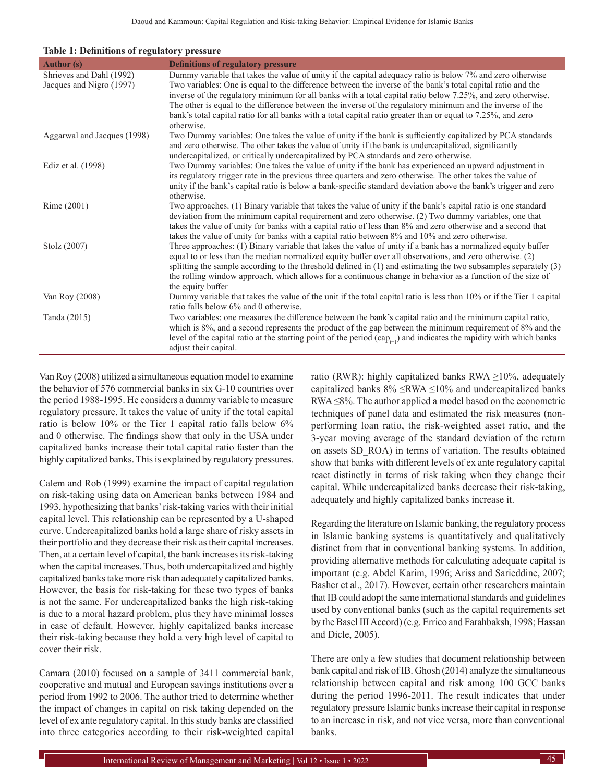| <b>Author</b> (s)           | <b>Definitions of regulatory pressure</b>                                                                                                                                                                             |
|-----------------------------|-----------------------------------------------------------------------------------------------------------------------------------------------------------------------------------------------------------------------|
| Shrieves and Dahl (1992)    | Dummy variable that takes the value of unity if the capital adequacy ratio is below 7% and zero otherwise                                                                                                             |
| Jacques and Nigro (1997)    | Two variables: One is equal to the difference between the inverse of the bank's total capital ratio and the                                                                                                           |
|                             | inverse of the regulatory minimum for all banks with a total capital ratio below 7.25%, and zero otherwise.                                                                                                           |
|                             | The other is equal to the difference between the inverse of the regulatory minimum and the inverse of the                                                                                                             |
|                             | bank's total capital ratio for all banks with a total capital ratio greater than or equal to 7.25%, and zero<br>otherwise.                                                                                            |
| Aggarwal and Jacques (1998) | Two Dummy variables: One takes the value of unity if the bank is sufficiently capitalized by PCA standards                                                                                                            |
|                             | and zero otherwise. The other takes the value of unity if the bank is undercapitalized, significantly                                                                                                                 |
|                             | undercapitalized, or critically undercapitalized by PCA standards and zero otherwise.                                                                                                                                 |
| Ediz et al. (1998)          | Two Dummy variables: One takes the value of unity if the bank has experienced an upward adjustment in                                                                                                                 |
|                             | its regulatory trigger rate in the previous three quarters and zero otherwise. The other takes the value of                                                                                                           |
|                             | unity if the bank's capital ratio is below a bank-specific standard deviation above the bank's trigger and zero                                                                                                       |
|                             | otherwise.                                                                                                                                                                                                            |
| Rime (2001)                 | Two approaches. (1) Binary variable that takes the value of unity if the bank's capital ratio is one standard<br>deviation from the minimum capital requirement and zero otherwise. (2) Two dummy variables, one that |
|                             | takes the value of unity for banks with a capital ratio of less than 8% and zero otherwise and a second that                                                                                                          |
|                             | takes the value of unity for banks with a capital ratio between 8% and 10% and zero otherwise.                                                                                                                        |
| Stolz (2007)                | Three approaches: (1) Binary variable that takes the value of unity if a bank has a normalized equity buffer                                                                                                          |
|                             | equal to or less than the median normalized equity buffer over all observations, and zero otherwise. (2)                                                                                                              |
|                             | splitting the sample according to the threshold defined in (1) and estimating the two subsamples separately (3)                                                                                                       |
|                             | the rolling window approach, which allows for a continuous change in behavior as a function of the size of                                                                                                            |
|                             | the equity buffer                                                                                                                                                                                                     |
| Van Roy (2008)              | Dummy variable that takes the value of the unit if the total capital ratio is less than 10% or if the Tier 1 capital<br>ratio falls below 6% and 0 otherwise.                                                         |
| Tanda (2015)                | Two variables: one measures the difference between the bank's capital ratio and the minimum capital ratio,                                                                                                            |
|                             | which is 8%, and a second represents the product of the gap between the minimum requirement of 8% and the                                                                                                             |
|                             | level of the capital ratio at the starting point of the period $(cap_{i-1})$ and indicates the rapidity with which banks                                                                                              |
|                             | adjust their capital.                                                                                                                                                                                                 |

Van Roy (2008) utilized a simultaneous equation model to examine the behavior of 576 commercial banks in six G-10 countries over the period 1988-1995. He considers a dummy variable to measure regulatory pressure. It takes the value of unity if the total capital ratio is below 10% or the Tier 1 capital ratio falls below 6% and 0 otherwise. The findings show that only in the USA under capitalized banks increase their total capital ratio faster than the highly capitalized banks. This is explained by regulatory pressures.

Calem and Rob (1999) examine the impact of capital regulation on risk-taking using data on American banks between 1984 and 1993, hypothesizing that banks' risk-taking varies with their initial capital level. This relationship can be represented by a U-shaped curve. Undercapitalized banks hold a large share of risky assets in their portfolio and they decrease their risk as their capital increases. Then, at a certain level of capital, the bank increases its risk-taking when the capital increases. Thus, both undercapitalized and highly capitalized banks take more risk than adequately capitalized banks. However, the basis for risk-taking for these two types of banks is not the same. For undercapitalized banks the high risk-taking is due to a moral hazard problem, plus they have minimal losses in case of default. However, highly capitalized banks increase their risk-taking because they hold a very high level of capital to cover their risk.

Camara (2010) focused on a sample of 3411 commercial bank, cooperative and mutual and European savings institutions over a period from 1992 to 2006. The author tried to determine whether the impact of changes in capital on risk taking depended on the level of ex ante regulatory capital. In this study banks are classified into three categories according to their risk-weighted capital ratio (RWR): highly capitalized banks RWA  $\geq$ 10%, adequately capitalized banks  $8\% \leq$ RWA  $\leq$ 10% and undercapitalized banks RWA ≤8%. The author applied a model based on the econometric techniques of panel data and estimated the risk measures (nonperforming loan ratio, the risk-weighted asset ratio, and the 3-year moving average of the standard deviation of the return on assets SD\_ROA) in terms of variation. The results obtained show that banks with different levels of ex ante regulatory capital react distinctly in terms of risk taking when they change their capital. While undercapitalized banks decrease their risk-taking, adequately and highly capitalized banks increase it.

Regarding the literature on Islamic banking, the regulatory process in Islamic banking systems is quantitatively and qualitatively distinct from that in conventional banking systems. In addition, providing alternative methods for calculating adequate capital is important (e.g. Abdel Karim, 1996; Ariss and Sarieddine, 2007; Basher et al., 2017). However, certain other researchers maintain that IB could adopt the same international standards and guidelines used by conventional banks (such as the capital requirements set by the Basel III Accord) (e.g. Errico and Farahbaksh, 1998; Hassan and Dicle, 2005).

There are only a few studies that document relationship between bank capital and risk of IB. Ghosh (2014) analyze the simultaneous relationship between capital and risk among 100 GCC banks during the period 1996-2011. The result indicates that under regulatory pressure Islamic banks increase their capital in response to an increase in risk, and not vice versa, more than conventional banks.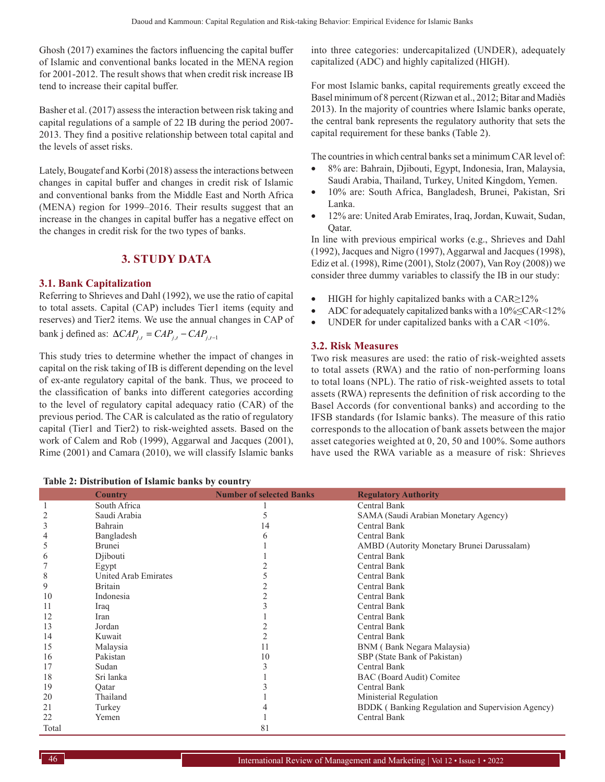Ghosh (2017) examines the factors influencing the capital buffer of Islamic and conventional banks located in the MENA region for 2001-2012. The result shows that when credit risk increase IB tend to increase their capital buffer.

Basher et al. (2017) assess the interaction between risk taking and capital regulations of a sample of 22 IB during the period 2007- 2013. They find a positive relationship between total capital and the levels of asset risks.

Lately, Bougatef and Korbi (2018) assess the interactions between changes in capital buffer and changes in credit risk of Islamic and conventional banks from the Middle East and North Africa (MENA) region for 1999–2016. Their results suggest that an increase in the changes in capital buffer has a negative effect on the changes in credit risk for the two types of banks.

# **3. STUDY DATA**

## **3.1. Bank Capitalization**

Referring to Shrieves and Dahl (1992), we use the ratio of capital to total assets. Capital (CAP) includes Tier1 items (equity and reserves) and Tier2 items. We use the annual changes in CAP of  $bank j defined as: \Delta CAP_{i,t} = CAP_{i,t} - CAP_{i,t-1}$ 

This study tries to determine whether the impact of changes in capital on the risk taking of IB is different depending on the level of ex-ante regulatory capital of the bank. Thus, we proceed to the classification of banks into different categories according to the level of regulatory capital adequacy ratio (CAR) of the previous period. The CAR is calculated as the ratio of regulatory capital (Tier1 and Tier2) to risk-weighted assets. Based on the work of Calem and Rob (1999), Aggarwal and Jacques (2001), Rime (2001) and Camara (2010), we will classify Islamic banks into three categories: undercapitalized (UNDER), adequately capitalized (ADC) and highly capitalized (HIGH).

For most Islamic banks, capital requirements greatly exceed the Basel minimum of 8 percent (Rizwan et al., 2012; Bitar and Madiès 2013). In the majority of countries where Islamic banks operate, the central bank represents the regulatory authority that sets the capital requirement for these banks (Table 2).

The countries in which central banks set a minimum CAR level of:

- 8% are: Bahrain, Djibouti, Egypt, Indonesia, Iran, Malaysia, Saudi Arabia, Thailand, Turkey, United Kingdom, Yemen.
- 10% are: South Africa, Bangladesh, Brunei, Pakistan, Sri Lanka.
- 12% are: United Arab Emirates, Iraq, Jordan, Kuwait, Sudan, Qatar.

In line with previous empirical works (e.g., Shrieves and Dahl (1992), Jacques and Nigro (1997), Aggarwal and Jacques (1998), Ediz et al. (1998), Rime (2001), Stolz (2007), Van Roy (2008)) we consider three dummy variables to classify the IB in our study:

- • HIGH for highly capitalized banks with a CAR≥12%
- ADC for adequately capitalized banks with a 10%≤CAR<12%
- UNDER for under capitalized banks with a CAR  $\leq$ 10%.

#### **3.2. Risk Measures**

Two risk measures are used: the ratio of risk-weighted assets to total assets (RWA) and the ratio of non-performing loans to total loans (NPL). The ratio of risk-weighted assets to total assets (RWA) represents the definition of risk according to the Basel Accords (for conventional banks) and according to the IFSB standards (for Islamic banks). The measure of this ratio corresponds to the allocation of bank assets between the major asset categories weighted at 0, 20, 50 and 100%. Some authors have used the RWA variable as a measure of risk: Shrieves

|              | raoic $\blacksquare$ , Distribution or Islamic banns by country |                                 |                                                  |  |  |  |  |  |
|--------------|-----------------------------------------------------------------|---------------------------------|--------------------------------------------------|--|--|--|--|--|
|              | <b>Country</b>                                                  | <b>Number of selected Banks</b> | <b>Regulatory Authority</b>                      |  |  |  |  |  |
| $\mathbf{1}$ | South Africa                                                    |                                 | <b>Central Bank</b>                              |  |  |  |  |  |
| 2            | Saudi Arabia                                                    |                                 | SAMA (Saudi Arabian Monetary Agency)             |  |  |  |  |  |
| 3            | Bahrain                                                         | 14                              | Central Bank                                     |  |  |  |  |  |
| 4            | Bangladesh                                                      | h                               | <b>Central Bank</b>                              |  |  |  |  |  |
| 5            | Brunei                                                          |                                 | AMBD (Autority Monetary Brunei Darussalam)       |  |  |  |  |  |
| 6            | Diibouti                                                        |                                 | <b>Central Bank</b>                              |  |  |  |  |  |
|              | Egypt                                                           |                                 | Central Bank                                     |  |  |  |  |  |
| 8            | United Arab Emirates                                            |                                 | Central Bank                                     |  |  |  |  |  |
| 9            | <b>Britain</b>                                                  |                                 | Central Bank                                     |  |  |  |  |  |
| 10           | Indonesia                                                       |                                 | Central Bank                                     |  |  |  |  |  |
| 11           | Iraq                                                            |                                 | Central Bank                                     |  |  |  |  |  |
| 12           | Iran                                                            |                                 | Central Bank                                     |  |  |  |  |  |
| 13           | Jordan                                                          |                                 | Central Bank                                     |  |  |  |  |  |
| 14           | Kuwait                                                          |                                 | Central Bank                                     |  |  |  |  |  |
| 15           | Malaysia                                                        | 11                              | BNM (Bank Negara Malaysia)                       |  |  |  |  |  |
| 16           | Pakistan                                                        | 10                              | SBP (State Bank of Pakistan)                     |  |  |  |  |  |
| 17           | Sudan                                                           |                                 | Central Bank                                     |  |  |  |  |  |
| 18           | Sri lanka                                                       |                                 | BAC (Board Audit) Comitee                        |  |  |  |  |  |
| 19           | Qatar                                                           |                                 | Central Bank                                     |  |  |  |  |  |
| 20           | Thailand                                                        |                                 | Ministerial Regulation                           |  |  |  |  |  |
| 21           | Turkey                                                          |                                 | BDDK (Banking Regulation and Supervision Agency) |  |  |  |  |  |
| 22           | Yemen                                                           |                                 | Central Bank                                     |  |  |  |  |  |
| Total        |                                                                 | 81                              |                                                  |  |  |  |  |  |

| Table 2: Distribution of Islamic banks by country |  |  |  |
|---------------------------------------------------|--|--|--|
|---------------------------------------------------|--|--|--|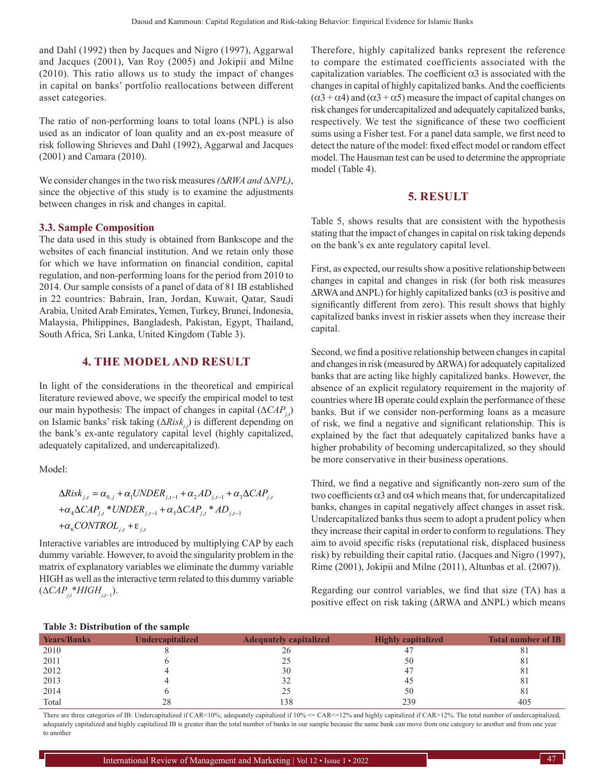and Dahl (1992) then by Jacques and Nigro (1997), Aggarwal and Jacques (2001), Van Roy (2005) and Jokipii and Milne (2010). This ratio allows us to study the impact of changes in capital on banks' portfolio reallocations between different asset categories.

The ratio of non-performing loans to total loans (NPL) is also used as an indicator of loan quality and an ex-post measure of risk following Shrieves and Dahl (1992), Aggarwal and Jacques (2001) and Camara (2010).

We consider changes in the two risk measures *(*∆*RWA and* ∆*NPL)*, since the objective of this study is to examine the adjustments between changes in risk and changes in capital.

#### **3.3. Sample Composition**

The data used in this study is obtained from Bankscope and the websites of each financial institution. And we retain only those for which we have information on financial condition, capital regulation, and non-performing loans for the period from 2010 to 2014. Our sample consists of a panel of data of 81 IB established in 22 countries: Bahrain, Iran, Jordan, Kuwait, Qatar, Saudi Arabia, United Arab Emirates, Yemen, Turkey, Brunei, Indonesia, Malaysia, Philippines, Bangladesh, Pakistan, Egypt, Thailand, South Africa, Sri Lanka, United Kingdom (Table 3).

#### **4. THE MODEL AND RESULT**

In light of the considerations in the theoretical and empirical literature reviewed above, we specify the empirical model to test our main hypothesis: The impact of changes in capital (∆*CAPj*,*<sup>t</sup>* ) on Islamic banks' risk taking (∆*Riskj*,*<sup>t</sup>* ) is different depending on the bank's ex-ante regulatory capital level (highly capitalized, adequately capitalized, and undercapitalized).

Model:

$$
\Delta Risk_{j,t} = \alpha_{0,j} + \alpha_1 UNDER_{j,t-1} + \alpha_2 AD_{j,t-1} + \alpha_3 \Delta CAP_{j,t}
$$

$$
+ \alpha_4 \Delta CAP_{j,t} * UNDER_{j,t-1} + \alpha_5 \Delta CAP_{j,t} * AD_{j,t-1}
$$

$$
+ \alpha_6 CONTROL_{j,t} + \varepsilon_{j,t}
$$

Interactive variables are introduced by multiplying CAP by each dummy variable. However, to avoid the singularity problem in the matrix of explanatory variables we eliminate the dummy variable HIGH as well as the interactive term related to this dummy variable (∆*CAPj*,*<sup>t</sup>* \**HIGHj*,*t*−1).

Therefore, highly capitalized banks represent the reference to compare the estimated coefficients associated with the capitalization variables. The coefficient  $\alpha$ 3 is associated with the changes in capital of highly capitalized banks. And the coefficients  $(\alpha$ 3 +  $\alpha$ 4) and ( $\alpha$ 3 +  $\alpha$ 5) measure the impact of capital changes on risk changes for undercapitalized and adequately capitalized banks, respectively. We test the significance of these two coefficient sums using a Fisher test. For a panel data sample, we first need to detect the nature of the model: fixed effect model or random effect model. The Hausman test can be used to determine the appropriate model (Table 4).

#### **5. RESULT**

Table 5, shows results that are consistent with the hypothesis stating that the impact of changes in capital on risk taking depends on the bank's ex ante regulatory capital level.

First, as expected, our results show a positive relationship between changes in capital and changes in risk (for both risk measures  $\Delta$ RWA and  $\Delta$ NPL) for highly capitalized banks ( $\alpha$ 3 is positive and significantly different from zero). This result shows that highly capitalized banks invest in riskier assets when they increase their capital.

Second, we find a positive relationship between changes in capital and changes in risk (measured by ∆RWA) for adequately capitalized banks that are acting like highly capitalized banks. However, the absence of an explicit regulatory requirement in the majority of countries where IB operate could explain the performance of these banks. But if we consider non-performing loans as a measure of risk, we find a negative and significant relationship. This is explained by the fact that adequately capitalized banks have a higher probability of becoming undercapitalized, so they should be more conservative in their business operations.

Third, we find a negative and significantly non-zero sum of the two coefficients  $\alpha$ 3 and  $\alpha$ 4 which means that, for undercapitalized banks, changes in capital negatively affect changes in asset risk. Undercapitalized banks thus seem to adopt a prudent policy when they increase their capital in order to conform to regulations. They aim to avoid specific risks (reputational risk, displaced business risk) by rebuilding their capital ratio. (Jacques and Nigro (1997), Rime (2001), Jokipii and Milne (2011), Altunbas et al. (2007)).

Regarding our control variables, we find that size (TA) has a positive effect on risk taking (∆RWA and ∆NPL) which means

| <b>Total number of IB</b> |
|---------------------------|
|                           |
| 81                        |
| 81                        |
| 81                        |
| 81                        |
| 81                        |
| 405                       |
|                           |

#### **Table 3: Distribution of the sample**

There are three categories of IB: Undercapitalized if CAR<10%; adequately capitalized if  $10\%$  <= CAR<=12% and highly capitalized if CAR>12%. The total number of undercapitalized, adequately capitalized and highly capitalized IB is greater than the total number of banks in our sample because the same bank can move from one category to another and from one year to another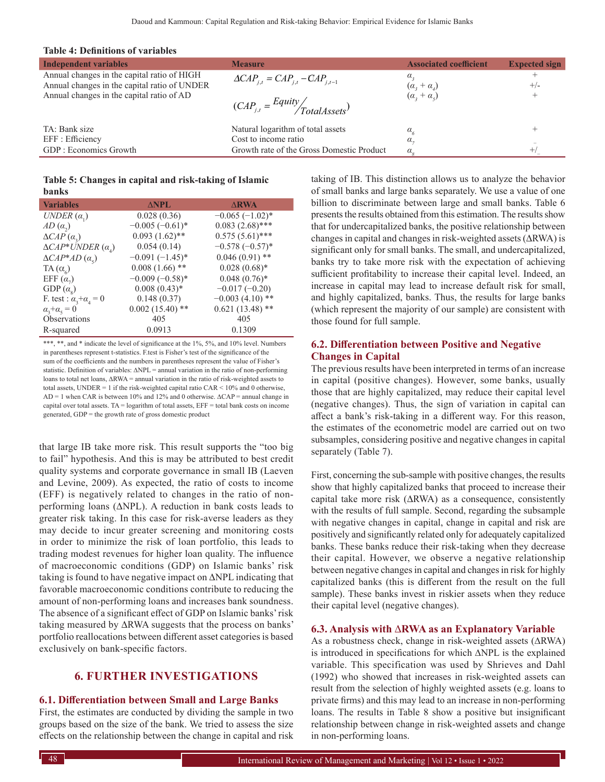#### **Table 4: Definitions of variables**

| <b>Independent variables</b>                 | <b>Measure</b>                               | <b>Associated coefficient</b>      | <b>Expected sign</b> |
|----------------------------------------------|----------------------------------------------|------------------------------------|----------------------|
| Annual changes in the capital ratio of HIGH  | $\Delta CAP_{i,t} = CAP_{i,t} - CAP_{i,t-1}$ |                                    |                      |
| Annual changes in the capital ratio of UNDER |                                              | $(\alpha_{3}+\alpha_{4})$          | $+/-$                |
| Annual changes in the capital ratio of AD    |                                              | $(\alpha_{3}+\alpha_{5})$          |                      |
|                                              | $(CAP_{j,t} = \frac{Equity}{TotalAssets})$   |                                    |                      |
| TA: Bank size                                | Natural logarithm of total assets            |                                    |                      |
|                                              |                                              | $\alpha_{\scriptscriptstyle\zeta}$ |                      |
| EFF : Efficiency                             | Cost to income ratio                         | $\alpha$ .                         |                      |
| GDP: Economics Growth                        | Growth rate of the Gross Domestic Product    | $\alpha_{\circ}$                   |                      |
|                                              |                                              |                                    |                      |

#### **Table 5: Changes in capital and risk-taking of Islamic banks**

| <b>Variables</b>                    | $\triangle$ NPL   | <b>ARWA</b>       |
|-------------------------------------|-------------------|-------------------|
| UNDER $(\alpha)$                    | 0.028(0.36)       | $-0.065(-1.02)$ * |
| $AD(\alpha)$                        | $-0.005(-0.61)$ * | $0.083(2.68)$ *** |
| $\triangle CAP(\alpha_2)$           | $0.093(1.62)$ **  | $0.575(5.61)$ *** |
| $\triangle CAP*UNDER(\alpha_{A})$   | 0.054(0.14)       | $-0.578(-0.57)$ * |
| $\triangle CAP*AD(\alpha_{s})$      | $-0.091(-1.45)$ * | $0.046(0.91)$ **  |
| $TA(\alpha_{6})$                    | $0.008(1.66)$ **  | $0.028(0.68)*$    |
| EFF $(\alpha_{\eta})$               | $-0.009(-0.58)$ * | $0.048(0.76)$ *   |
| GDP $(\alpha_s)$                    | $0.008(0.43)*$    | $-0.017(-0.20)$   |
| F. test : $\alpha_3 + \alpha_4 = 0$ | 0.148(0.37)       | $-0.003(4.10)$ ** |
| $\alpha_{2}+\alpha_{5}=0$           | $0.002(15.40)$ ** | $0.621(13.48)$ ** |
| Observations                        | 405               | 405               |
| R-squared                           | 0.0913            | 0.1309            |

\*\*\*, \*\*, and \* indicate the level of significance at the 1%, 5%, and 10% level. Numbers in parentheses represent t-statistics. F.test is Fisher's test of the significance of the sum of the coefficients and the numbers in parentheses represent the value of Fisher's statistic. Definition of variables: ΔNPL = annual variation in the ratio of non-performing loans to total net loans, ∆RWA = annual variation in the ratio of risk‑weighted assets to total assets, UNDER = 1 if the risk-weighted capital ratio CAR  $\leq$  10% and 0 otherwise, AD = 1 when CAR is between 10% and 12% and 0 otherwise. ∆CAP = annual change in capital over total assets. TA = logarithm of total assets, EFF = total bank costs on income generated, GDP = the growth rate of gross domestic product

that large IB take more risk. This result supports the "too big to fail" hypothesis. And this is may be attributed to best credit quality systems and corporate governance in small IB (Laeven and Levine, 2009). As expected, the ratio of costs to income (EFF) is negatively related to changes in the ratio of nonperforming loans (∆NPL). A reduction in bank costs leads to greater risk taking. In this case for risk-averse leaders as they may decide to incur greater screening and monitoring costs in order to minimize the risk of loan portfolio, this leads to trading modest revenues for higher loan quality. The influence of macroeconomic conditions (GDP) on Islamic banks' risk taking is found to have negative impact on ∆NPL indicating that favorable macroeconomic conditions contribute to reducing the amount of non-performing loans and increases bank soundness. The absence of a significant effect of GDP on Islamic banks' risk taking measured by ∆RWA suggests that the process on banks' portfolio reallocations between different asset categories is based exclusively on bank-specific factors.

# **6. FURTHER INVESTIGATIONS**

#### **6.1. Differentiation between Small and Large Banks**

First, the estimates are conducted by dividing the sample in two groups based on the size of the bank. We tried to assess the size effects on the relationship between the change in capital and risk taking of IB. This distinction allows us to analyze the behavior of small banks and large banks separately. We use a value of one billion to discriminate between large and small banks. Table 6 presents the results obtained from this estimation. The results show that for undercapitalized banks, the positive relationship between changes in capital and changes in risk-weighted assets (ΔRWA) is significant only for small banks. The small, and undercapitalized, banks try to take more risk with the expectation of achieving sufficient profitability to increase their capital level. Indeed, an increase in capital may lead to increase default risk for small, and highly capitalized, banks. Thus, the results for large banks (which represent the majority of our sample) are consistent with those found for full sample.

#### **6.2. Differentiation between Positive and Negative Changes in Capital**

The previous results have been interpreted in terms of an increase in capital (positive changes). However, some banks, usually those that are highly capitalized, may reduce their capital level (negative changes). Thus, the sign of variation in capital can affect a bank's risk-taking in a different way. For this reason, the estimates of the econometric model are carried out on two subsamples, considering positive and negative changes in capital separately (Table 7).

First, concerning the sub-sample with positive changes, the results show that highly capitalized banks that proceed to increase their capital take more risk (ΔRWA) as a consequence, consistently with the results of full sample. Second, regarding the subsample with negative changes in capital, change in capital and risk are positively and significantly related only for adequately capitalized banks. These banks reduce their risk-taking when they decrease their capital. However, we observe a negative relationship between negative changes in capital and changes in risk for highly capitalized banks (this is different from the result on the full sample). These banks invest in riskier assets when they reduce their capital level (negative changes).

#### **6.3. Analysis with** ∆**RWA as an Explanatory Variable**

As a robustness check, change in risk-weighted assets (∆RWA) is introduced in specifications for which ∆NPL is the explained variable. This specification was used by Shrieves and Dahl (1992) who showed that increases in risk-weighted assets can result from the selection of highly weighted assets (e.g. loans to private firms) and this may lead to an increase in non-performing loans. The results in Table 8 show a positive but insignificant relationship between change in risk-weighted assets and change in non-performing loans.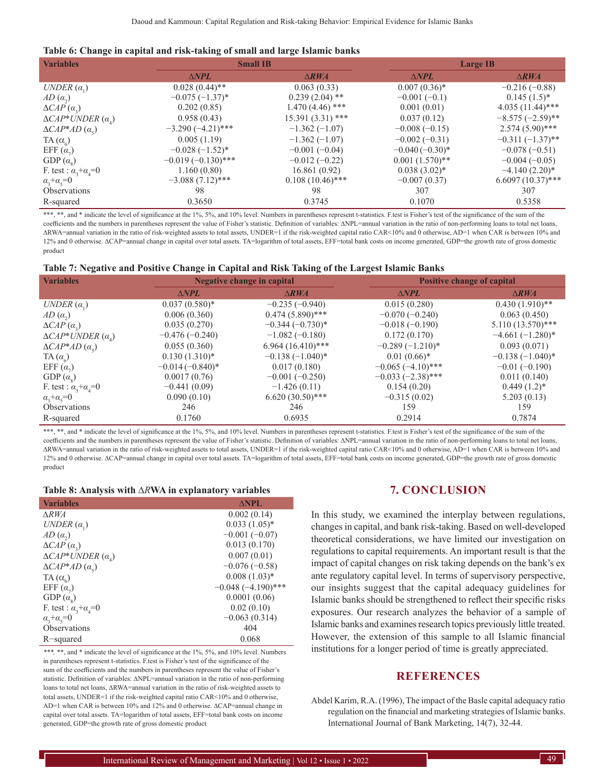| <b>Variables</b>                    | <b>Small IB</b>      |                    |                   | <b>Large IB</b>     |
|-------------------------------------|----------------------|--------------------|-------------------|---------------------|
|                                     | $\triangle NPL$      | $\triangle$ RWA    | $\triangle NPL$   | $\triangle RWA$     |
| UNDER $(\alpha_1)$                  | $0.028(0.44)$ **     | 0.063(0.33)        | $0.007(0.36)^*$   | $-0.216(-0.88)$     |
| $AD\left(\alpha_{2}\right)$         | $-0.075(-1.37)^{*}$  | $0.239(2.04)$ **   | $-0.001(-0.1)$    | $0.145(1.5)^*$      |
| $\triangle CAP(\alpha_2)$           | 0.202(0.85)          | $1.470(4.46)$ ***  | 0.001(0.01)       | $4.035(11.44)$ ***  |
| $\triangle CAP*UNDER(\alpha_{A})$   | 0.958(0.43)          | $15.391(3.31)$ *** | 0.037(0.12)       | $-8.575(-2.59)$ **  |
| $\triangle CAP*AD(\alpha_{s})$      | $-3.290(-4.21)$ ***  | $-1.362(-1.07)$    | $-0.008(-0.15)$   | $2.574(5.90)$ ***   |
| TA $(\alpha_{\epsilon})$            | 0.005(1.19)          | $-1.362(-1.07)$    | $-0.002(-0.31)$   | $-0.311(-1.37)$ **  |
| EFF $(\alpha_{\eta})$               | $-0.028(-1.52)^{*}$  | $-0.001(-0.04)$    | $-0.040(-0.30)$ * | $-0.078(-0.51)$     |
| GDP $(\alpha_s)$                    | $-0.019(-0.130)$ *** | $-0.012(-0.22)$    | $0.001(1.570)$ ** | $-0.004(-0.05)$     |
| F. test : $\alpha_3 + \alpha_4 = 0$ | 1.160(0.80)          | 16.861(0.92)       | $0.038(3.02)^{*}$ | $-4.140(2.20)$ *    |
| $\alpha_{3} + \alpha_{5} = 0$       | $-3.088(7.12)$ ***   | $0.108(10.46)$ *** | $-0.007(0.37)$    | $6.6097(10.37)$ *** |
| Observations                        | 98                   | 98                 | 307               | 307                 |
| R-squared                           | 0.3650               | 0.3745             | 0.1070            | 0.5358              |

\*\*\*, \*\*, and \* indicate the level of significance at the 1%, 5%, and 10% level. Numbers in parentheses represent t-statistics. F.test is Fisher's test of the significance of the sum of the coefficients and the numbers in parentheses represent the value of Fisher's statistic. Definition of variables:  $\Delta NPL$ =annual variation in the ratio of non-performing loans to total net loans, ∆RWA=annual variation in the ratio of risk‑weighted assets to total assets, UNDER=1 if the risk‑weighted capital ratio CAR<10% and 0 otherwise, AD=1 when CAR is between 10% and 12% and 0 otherwise. ∆CAP=annual change in capital over total assets. TA=logarithm of total assets, EFF=total bank costs on income generated, GDP=the growth rate of gross domestic product

| Table 7: Negative and Positive Change in Capital and Risk Taking of the Largest Islamic Banks |  |  |  |  |
|-----------------------------------------------------------------------------------------------|--|--|--|--|
|                                                                                               |  |  |  |  |

| <b>Variables</b>                    | Negative change in capital |                                  |                     | <b>Positive change of capital</b> |
|-------------------------------------|----------------------------|----------------------------------|---------------------|-----------------------------------|
|                                     | $\triangle NPL$            | $\triangle$ RWA                  | $\triangle NPL$     | $\triangle$ RWA                   |
| UNDER $(\alpha_1)$                  | $0.037(0.580)*$            | $-0.235(-0.940)$                 | 0.015(0.280)        | $0.430(1.910)**$                  |
| $AD\left(\alpha_{2}\right)$         | 0.006(0.360)               | $0.474(5.890)$ ***               | $-0.070(-0.240)$    | 0.063(0.450)                      |
| $\triangle CAP(\alpha_2)$           | 0.035(0.270)               | $-0.344$ $(-0.730)$ <sup>*</sup> | $-0.018(-0.190)$    | $5.110(13.570)$ ***               |
| $\triangle CAP*UNDER(\alpha_{A})$   | $-0.476(-0.240)$           | $-1.082(-0.180)$                 | 0.172(0.170)        | $-4.661(-1.280)$ *                |
| $\triangle CAP*AD(\alpha_{s})$      | 0.055(0.360)               | $6.964(16.410)$ ***              | $-0.289(-1.210)*$   | 0.093(0.071)                      |
| $TA(\alpha_{\epsilon})$             | $0.130(1.310)*$            | $-0.138(-1.040)*$                | $0.01(0.66)*$       | $-0.138(-1.040)*$                 |
| EFF $(\alpha_{\tau})$               | $-0.014(-0.840)*$          | 0.017(0.180)                     | $-0.065(-4.10)$ *** | $-0.01(-0.190)$                   |
| GDP $(\alpha_{\rm s})$              | 0.0017(0.76)               | $-0.001(-0.250)$                 | $-0.033(-2.38)$ *** | 0.011(0.140)                      |
| F. test : $\alpha_3 + \alpha_4 = 0$ | $-0.441(0.09)$             | $-1.426(0.11)$                   | 0.154(0.20)         | $0.449(1.2)^*$                    |
| $\alpha_{3} + \alpha_{5} = 0$       | 0.090(0.10)                | $6.620(30.50)$ ***               | $-0.315(0.02)$      | 5.203(0.13)                       |
| <b>Observations</b>                 | 246                        | 246                              | 159                 | 159                               |
| R-squared                           | 0.1760                     | 0.6935                           | 0.2914              | 0.7874                            |

\*\*\*, \*\*, and \* indicate the level of significance at the 1%, 5%, and 10% level. Numbers in parentheses represent t-statistics. F.test is Fisher's test of the significance of the sum of the coefficients and the numbers in parentheses represent the value of Fisher's statistic. Definition of variables:  $\Delta NPL$ =annual variation in the ratio of non-performing loans to total net loans, ∆RWA=annual variation in the ratio of risk‑weighted assets to total assets, UNDER=1 if the risk‑weighted capital ratio CAR<10% and 0 otherwise, AD=1 when CAR is between 10% and 12% and 0 otherwise. ∆CAP=annual change in capital over total assets. TA=logarithm of total assets, EFF=total bank costs on income generated, GDP=the growth rate of gross domestic product

| Table 8: Analysis with $\triangle RWA$ in explanatory variables |  |  |  |  |  |
|-----------------------------------------------------------------|--|--|--|--|--|
|-----------------------------------------------------------------|--|--|--|--|--|

| <b>Variables</b>                        | <b>ANPL</b>           |
|-----------------------------------------|-----------------------|
| $\triangle RWA$                         | 0.002(0.14)           |
| UNDER $(\alpha_1)$                      | $0.033(1.05)^*$       |
| $AD\left(\alpha_{2}\right)$             | $-0.001(-0.07)$       |
| $\triangle CAP(\alpha_2)$               | 0.013(0.170)          |
| $\triangle CAP*UNDER(\alpha_{\lambda})$ | 0.007(0.01)           |
| $\triangle CAP*AD(\alpha_{s})$          | $-0.076(-0.58)$       |
| $TA(\alpha_{c})$                        | $0.008(1.03)*$        |
| EFF $(\alpha_{7})$                      | $-0.048 (-4.190)$ *** |
| GDP $(\alpha_s)$                        | 0.0001(0.06)          |
| F. test : $\alpha_3 + \alpha_4 = 0$     | 0.02(0.10)            |
| $\alpha_{3} + \alpha_{5} = 0$           | $-0.063(0.314)$       |
| <b>Observations</b>                     | 404                   |
| R-squared                               | 0.068                 |

*\*\*\*,* \*\*, and \* indicate the level of significance at the 1%, 5%, and 10% level. Numbers in parentheses represent t-statistics. F.test is Fisher's test of the significance of the sum of the coefficients and the numbers in parentheses represent the value of Fisher's statistic. Definition of variables: ∆NPL=annual variation in the ratio of non-performing loans to total net loans, ∆RWA=annual variation in the ratio of risk-weighted assets to total assets, UNDER=1 if the risk-weighted capital ratio CAR<10% and 0 otherwise, AD=1 when CAR is between 10% and 12% and 0 otherwise. ∆CAP=annual change in capital over total assets. TA=logarithm of total assets, EFF=total bank costs on income generated, GDP=the growth rate of gross domestic product

# **7. CONCLUSION**

In this study, we examined the interplay between regulations, changes in capital, and bank risk-taking. Based on well-developed theoretical considerations, we have limited our investigation on regulations to capital requirements. An important result is that the impact of capital changes on risk taking depends on the bank's ex ante regulatory capital level. In terms of supervisory perspective, our insights suggest that the capital adequacy guidelines for Islamic banks should be strengthened to reflect their specific risks exposures. Our research analyzes the behavior of a sample of Islamic banks and examines research topics previously little treated. However, the extension of this sample to all Islamic financial institutions for a longer period of time is greatly appreciated.

## **REFERENCES**

Abdel Karim, R.A. (1996), The impact of the Basle capital adequacy ratio regulation on the financial and marketing strategies of Islamic banks. International Journal of Bank Marketing, 14(7), 32-44.